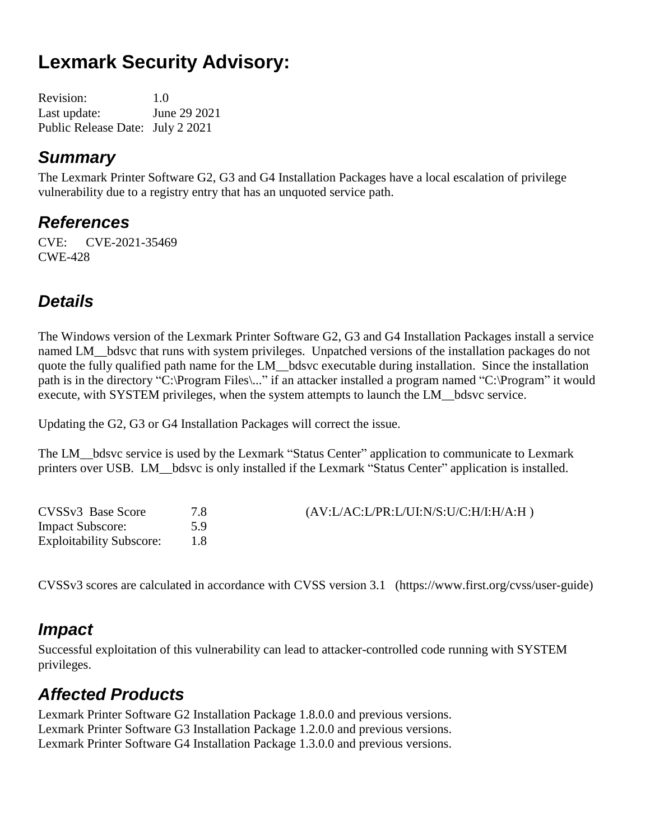# **Lexmark Security Advisory:**

Revision: 1.0 Last update: June 29 2021 Public Release Date: July 2 2021

#### *Summary*

The Lexmark Printer Software G2, G3 and G4 Installation Packages have a local escalation of privilege vulnerability due to a registry entry that has an unquoted service path.

#### *References*

CVE: CVE-2021-35469 CWE-428

## *Details*

The Windows version of the Lexmark Printer Software G2, G3 and G4 Installation Packages install a service named LM\_\_bdsvc that runs with system privileges. Unpatched versions of the installation packages do not quote the fully qualified path name for the LM\_\_bdsvc executable during installation. Since the installation path is in the directory "C:\Program Files\..." if an attacker installed a program named "C:\Program" it would execute, with SYSTEM privileges, when the system attempts to launch the LM\_\_bdsvc service.

Updating the G2, G3 or G4 Installation Packages will correct the issue.

The LM\_\_bdsvc service is used by the Lexmark "Status Center" application to communicate to Lexmark printers over USB. LM\_\_bdsvc is only installed if the Lexmark "Status Center" application is installed.

| CVSSv3 Base Score               | 7 R | $(AV: L/AC: L/PR: L/UI: N/S: U/C: H/I: H/A: H)$ |
|---------------------------------|-----|-------------------------------------------------|
| <b>Impact Subscore:</b>         | -59 |                                                 |
| <b>Exploitability Subscore:</b> |     |                                                 |

CVSSv3 scores are calculated in accordance with CVSS version 3.1 (https://www.first.org/cvss/user-guide)

### *Impact*

Successful exploitation of this vulnerability can lead to attacker-controlled code running with SYSTEM privileges.

## *Affected Products*

Lexmark Printer Software G2 Installation Package 1.8.0.0 and previous versions. Lexmark Printer Software G3 Installation Package 1.2.0.0 and previous versions. Lexmark Printer Software G4 Installation Package 1.3.0.0 and previous versions.